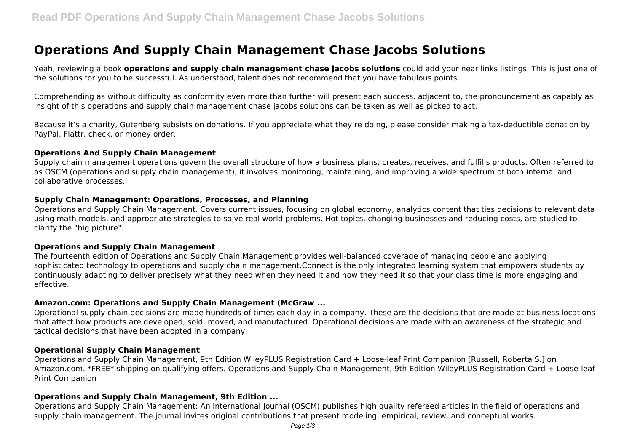# **Operations And Supply Chain Management Chase Jacobs Solutions**

Yeah, reviewing a book **operations and supply chain management chase jacobs solutions** could add your near links listings. This is just one of the solutions for you to be successful. As understood, talent does not recommend that you have fabulous points.

Comprehending as without difficulty as conformity even more than further will present each success. adjacent to, the pronouncement as capably as insight of this operations and supply chain management chase jacobs solutions can be taken as well as picked to act.

Because it's a charity, Gutenberg subsists on donations. If you appreciate what they're doing, please consider making a tax-deductible donation by PayPal, Flattr, check, or money order.

### **Operations And Supply Chain Management**

Supply chain management operations govern the overall structure of how a business plans, creates, receives, and fulfills products. Often referred to as OSCM (operations and supply chain management), it involves monitoring, maintaining, and improving a wide spectrum of both internal and collaborative processes.

### **Supply Chain Management: Operations, Processes, and Planning**

Operations and Supply Chain Management. Covers current issues, focusing on global economy, analytics content that ties decisions to relevant data using math models, and appropriate strategies to solve real world problems. Hot topics, changing businesses and reducing costs, are studied to clarify the "big picture".

## **Operations and Supply Chain Management**

The fourteenth edition of Operations and Supply Chain Management provides well-balanced coverage of managing people and applying sophisticated technology to operations and supply chain management.Connect is the only integrated learning system that empowers students by continuously adapting to deliver precisely what they need when they need it and how they need it so that your class time is more engaging and effective.

## **Amazon.com: Operations and Supply Chain Management (McGraw ...**

Operational supply chain decisions are made hundreds of times each day in a company. These are the decisions that are made at business locations that affect how products are developed, sold, moved, and manufactured. Operational decisions are made with an awareness of the strategic and tactical decisions that have been adopted in a company.

### **Operational Supply Chain Management**

Operations and Supply Chain Management, 9th Edition WileyPLUS Registration Card + Loose-leaf Print Companion [Russell, Roberta S.] on Amazon.com. \*FREE\* shipping on qualifying offers. Operations and Supply Chain Management, 9th Edition WileyPLUS Registration Card + Loose-leaf Print Companion

## **Operations and Supply Chain Management, 9th Edition ...**

Operations and Supply Chain Management: An International Journal (OSCM) publishes high quality refereed articles in the field of operations and supply chain management. The journal invites original contributions that present modeling, empirical, review, and conceptual works.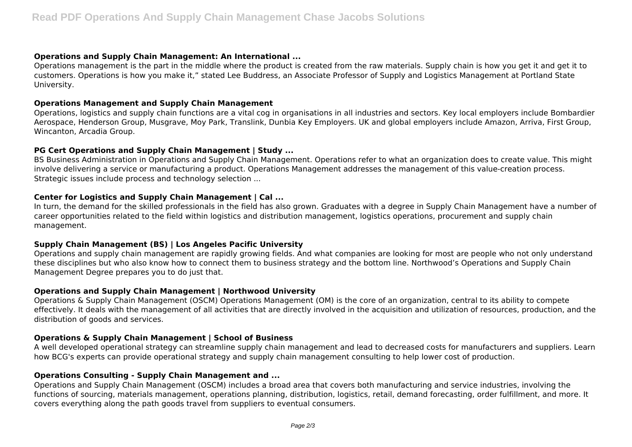## **Operations and Supply Chain Management: An International ...**

Operations management is the part in the middle where the product is created from the raw materials. Supply chain is how you get it and get it to customers. Operations is how you make it," stated Lee Buddress, an Associate Professor of Supply and Logistics Management at Portland State University.

## **Operations Management and Supply Chain Management**

Operations, logistics and supply chain functions are a vital cog in organisations in all industries and sectors. Key local employers include Bombardier Aerospace, Henderson Group, Musgrave, Moy Park, Translink, Dunbia Key Employers. UK and global employers include Amazon, Arriva, First Group, Wincanton, Arcadia Group.

## **PG Cert Operations and Supply Chain Management | Study ...**

BS Business Administration in Operations and Supply Chain Management. Operations refer to what an organization does to create value. This might involve delivering a service or manufacturing a product. Operations Management addresses the management of this value-creation process. Strategic issues include process and technology selection ...

## **Center for Logistics and Supply Chain Management | Cal ...**

In turn, the demand for the skilled professionals in the field has also grown. Graduates with a degree in Supply Chain Management have a number of career opportunities related to the field within logistics and distribution management, logistics operations, procurement and supply chain management.

## **Supply Chain Management (BS) | Los Angeles Pacific University**

Operations and supply chain management are rapidly growing fields. And what companies are looking for most are people who not only understand these disciplines but who also know how to connect them to business strategy and the bottom line. Northwood's Operations and Supply Chain Management Degree prepares you to do just that.

## **Operations and Supply Chain Management | Northwood University**

Operations & Supply Chain Management (OSCM) Operations Management (OM) is the core of an organization, central to its ability to compete effectively. It deals with the management of all activities that are directly involved in the acquisition and utilization of resources, production, and the distribution of goods and services.

## **Operations & Supply Chain Management | School of Business**

A well developed operational strategy can streamline supply chain management and lead to decreased costs for manufacturers and suppliers. Learn how BCG's experts can provide operational strategy and supply chain management consulting to help lower cost of production.

## **Operations Consulting - Supply Chain Management and ...**

Operations and Supply Chain Management (OSCM) includes a broad area that covers both manufacturing and service industries, involving the functions of sourcing, materials management, operations planning, distribution, logistics, retail, demand forecasting, order fulfillment, and more. It covers everything along the path goods travel from suppliers to eventual consumers.